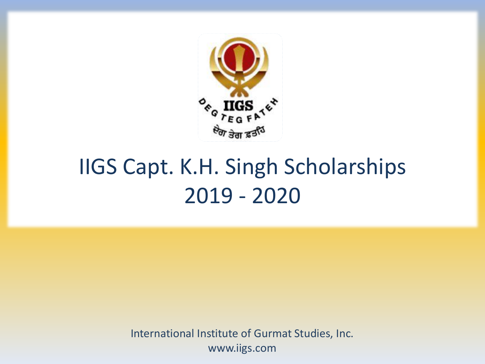

## IIGS Capt. K.H. Singh Scholarships 2019 - 2020

International Institute of Gurmat Studies, Inc. www.iigs.com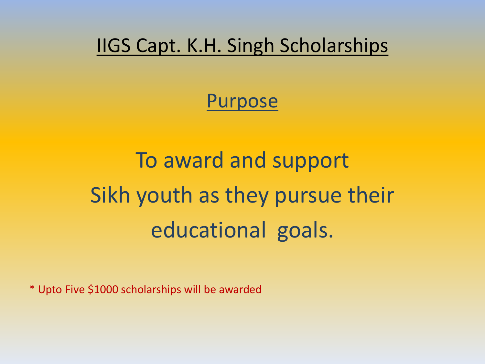#### IIGS Capt. K.H. Singh Scholarships

#### Purpose

# To award and support Sikh youth as they pursue their educational goals.

\* Upto Five \$1000 scholarships will be awarded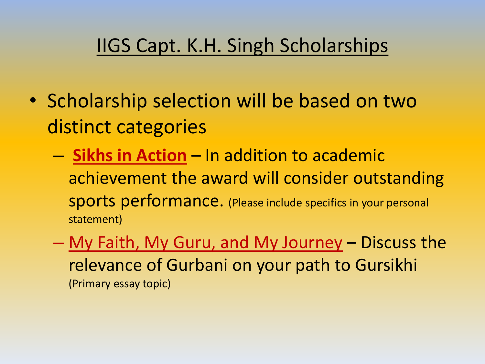### IIGS Capt. K.H. Singh Scholarships

- Scholarship selection will be based on two distinct categories
	- **Sikhs in Action** In addition to academic achievement the award will consider outstanding sports performance. (Please include specifics in your personal statement)
	- My Faith, My Guru, and My Journey Discuss the relevance of Gurbani on your path to Gursikhi (Primary essay topic)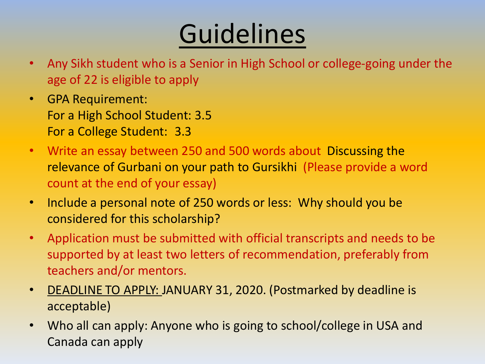# **Guidelines**

- Any Sikh student who is a Senior in High School or college-going under the age of 22 is eligible to apply
- GPA Requirement: For a High School Student: 3.5 For a College Student: 3.3
- Write an essay between 250 and 500 words about Discussing the relevance of Gurbani on your path to Gursikhi (Please provide a word count at the end of your essay)
- Include a personal note of 250 words or less: Why should you be considered for this scholarship?
- Application must be submitted with official transcripts and needs to be supported by at least two letters of recommendation, preferably from teachers and/or mentors.
- DEADLINE TO APPLY: JANUARY 31, 2020. (Postmarked by deadline is acceptable)
- Who all can apply: Anyone who is going to school/college in USA and Canada can apply